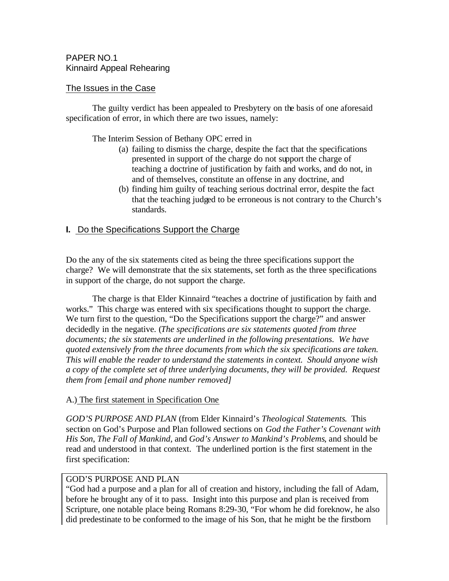PAPER NO.1 Kinnaird Appeal Rehearing

## The Issues in the Case

The guilty verdict has been appealed to Presbytery on the basis of one aforesaid specification of error, in which there are two issues, namely:

The Interim Session of Bethany OPC erred in

- (a) failing to dismiss the charge, despite the fact that the specifications presented in support of the charge do not support the charge of teaching a doctrine of justification by faith and works, and do not, in and of themselves, constitute an offense in any doctrine, and
- (b) finding him guilty of teaching serious doctrinal error, despite the fact that the teaching judged to be erroneous is not contrary to the Church's standards.

# **I.** Do the Specifications Support the Charge

Do the any of the six statements cited as being the three specifications support the charge? We will demonstrate that the six statements, set forth as the three specifications in support of the charge, do not support the charge.

The charge is that Elder Kinnaird "teaches a doctrine of justification by faith and works." This charge was entered with six specifications thought to support the charge. We turn first to the question, "Do the Specifications support the charge?" and answer decidedly in the negative. (*The specifications are six statements quoted from three documents; the six statements are underlined in the following presentations. We have quoted extensively from the three documents from which the six specifications are taken. This will enable the reader to understand the statements in context. Should anyone wish a copy of the complete set of three underlying documents, they will be provided. Request them from [email and phone number removed]*

## A.) The first statement in Specification One

*GOD'S PURPOSE AND PLAN* (from Elder Kinnaird's *Theological Statements*. This section on God's Purpose and Plan followed sections on *God the Father's Covenant with His Son*, *The Fall of Mankind*, and *God's Answer to Mankind's Problems*, and should be read and understood in that context. The underlined portion is the first statement in the first specification:

## GOD'S PURPOSE AND PLAN

"God had a purpose and a plan for all of creation and history, including the fall of Adam, before he brought any of it to pass. Insight into this purpose and plan is received from Scripture, one notable place being Romans 8:29-30, "For whom he did foreknow, he also did predestinate to be conformed to the image of his Son, that he might be the firstborn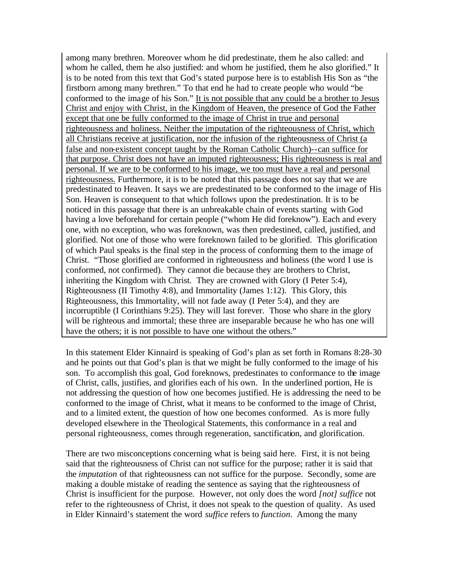among many brethren. Moreover whom he did predestinate, them he also called: and whom he called, them he also justified: and whom he justified, them he also glorified." It is to be noted from this text that God's stated purpose here is to establish His Son as "the firstborn among many brethren." To that end he had to create people who would "be conformed to the image of his Son." It is not possible that any could be a brother to Jesus Christ and enjoy with Christ, in the Kingdom of Heaven, the presence of God the Father except that one be fully conformed to the image of Christ in true and personal righteousness and holiness. Neither the imputation of the righteousness of Christ, which all Christians receive at justification, nor the infusion of the righteousness of Christ (a false and non-existent concept taught by the Roman Catholic Church)--can suffice for that purpose. Christ does not have an imputed righteousness; His righteousness is real and personal. If we are to be conformed to his image, we too must have a real and personal righteousness. Furthermore, it is to be noted that this passage does not say that we are predestinated to Heaven. It says we are predestinated to be conformed to the image of His Son. Heaven is consequent to that which follows upon the predestination. It is to be noticed in this passage that there is an unbreakable chain of events starting with God having a love beforehand for certain people ("whom He did foreknow"). Each and every one, with no exception, who was foreknown, was then predestined, called, justified, and glorified. Not one of those who were foreknown failed to be glorified. This glorification of which Paul speaks is the final step in the process of conforming them to the image of Christ. "Those glorified are conformed in righteousness and holiness (the word I use is conformed, not confirmed). They cannot die because they are brothers to Christ, inheriting the Kingdom with Christ. They are crowned with Glory (I Peter 5:4), Righteousness (II Timothy 4:8), and Immortality (James 1:12). This Glory, this Righteousness, this Immortality, will not fade away (I Peter 5:4), and they are incorruptible (I Corinthians 9:25). They will last forever. Those who share in the glory will be righteous and immortal; these three are inseparable because he who has one will have the others; it is not possible to have one without the others."

In this statement Elder Kinnaird is speaking of God's plan as set forth in Romans 8:28-30 and he points out that God's plan is that we might be fully conformed to the image of his son. To accomplish this goal, God foreknows, predestinates to conformance to the image of Christ, calls, justifies, and glorifies each of his own. In the underlined portion, He is not addressing the question of how one becomes justified. He is addressing the need to be conformed to the image of Christ, what it means to be conformed to the image of Christ, and to a limited extent, the question of how one becomes conformed. As is more fully developed elsewhere in the Theological Statements, this conformance in a real and personal righteousness, comes through regeneration, sanctification, and glorification.

There are two misconceptions concerning what is being said here. First, it is not being said that the righteousness of Christ can not suffice for the purpose; rather it is said that the *imputation* of that righteousness can not suffice for the purpose. Secondly, some are making a double mistake of reading the sentence as saying that the righteousness of Christ is insufficient for the purpose. However, not only does the word *[not] suffice* not refer to the righteousness of Christ, it does not speak to the question of quality. As used in Elder Kinnaird's statement the word *suffice* refers to *function*. Among the many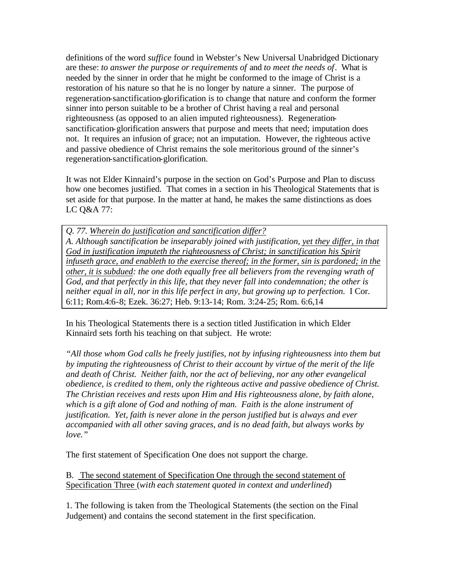definitions of the word *suffice* found in Webster's New Universal Unabridged Dictionary are these: *to answer the purpose or requirements of* and *to meet the needs of*. What is needed by the sinner in order that he might be conformed to the image of Christ is a restoration of his nature so that he is no longer by nature a sinner. The purpose of regeneration-sanctification-glorification is to change that nature and conform the former sinner into person suitable to be a brother of Christ having a real and personal righteousness (as opposed to an alien imputed righteousness). Regenerationsanctification-glorification answers that purpose and meets that need; imputation does not. It requires an infusion of grace; not an imputation. However, the righteous active and passive obedience of Christ remains the sole meritorious ground of the sinner's regeneration-sanctification-glorification.

It was not Elder Kinnaird's purpose in the section on God's Purpose and Plan to discuss how one becomes justified. That comes in a section in his Theological Statements that is set aside for that purpose. In the matter at hand, he makes the same distinctions as does LC Q&A 77:

*Q. 77. Wherein do justification and sanctification differ?*

*A. Although sanctification be inseparably joined with justification, yet they differ, in that God in justification imputeth the righteousness of Christ; in sanctification his Spirit infuseth grace, and enableth to the exercise thereof; in the former, sin is pardoned; in the other, it is subdued: the one doth equally free all believers from the revenging wrath of God, and that perfectly in this life, that they never fall into condemnation; the other is neither equal in all, nor in this life perfect in any, but growing up to perfection.* I Cor. 6:11; Rom.4:6-8; Ezek. 36:27; Heb. 9:13-14; Rom. 3:24-25; Rom. 6:6,14

In his Theological Statements there is a section titled Justification in which Elder Kinnaird sets forth his teaching on that subject. He wrote:

*"All those whom God calls he freely justifies, not by infusing righteousness into them but by imputing the righteousness of Christ to their account by virtue of the merit of the life and death of Christ. Neither faith, nor the act of believing, nor any other evangelical obedience, is credited to them, only the righteous active and passive obedience of Christ. The Christian receives and rests upon Him and His righteousness alone, by faith alone, which is a gift alone of God and nothing of man. Faith is the alone instrument of justification. Yet, faith is never alone in the person justified but is always and ever accompanied with all other saving graces, and is no dead faith, but always works by love."*

The first statement of Specification One does not support the charge.

B. The second statement of Specification One through the second statement of Specification Three (*with each statement quoted in context and underlined*)

1. The following is taken from the Theological Statements (the section on the Final Judgement) and contains the second statement in the first specification.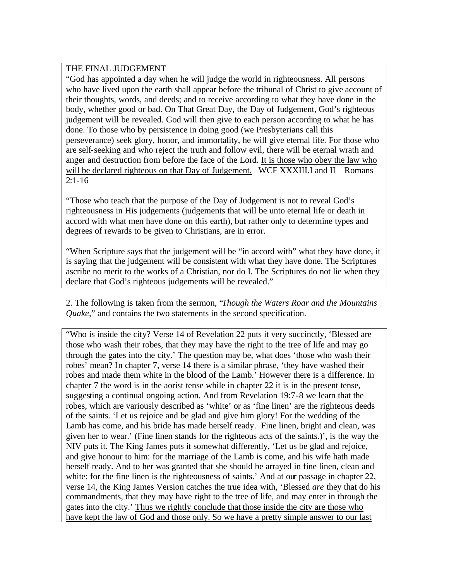# THE FINAL JUDGEMENT

"God has appointed a day when he will judge the world in righteousness. All persons who have lived upon the earth shall appear before the tribunal of Christ to give account of their thoughts, words, and deeds; and to receive according to what they have done in the body, whether good or bad. On That Great Day, the Day of Judgement, God's righteous judgement will be revealed. God will then give to each person according to what he has done. To those who by persistence in doing good (we Presbyterians call this perseverance) seek glory, honor, and immortality, he will give eternal life. For those who are self-seeking and who reject the truth and follow evil, there will be eternal wrath and anger and destruction from before the face of the Lord. It is those who obey the law who will be declared righteous on that Day of Judgement. WCF XXXIII.I and II Romans  $2:1 - 16$ 

"Those who teach that the purpose of the Day of Judgement is not to reveal God's righteousness in His judgements (judgements that will be unto eternal life or death in accord with what men have done on this earth), but rather only to determine types and degrees of rewards to be given to Christians, are in error.

"When Scripture says that the judgement will be "in accord with" what they have done, it is saying that the judgement will be consistent with what they have done. The Scriptures ascribe no merit to the works of a Christian, nor do I. The Scriptures do not lie when they declare that God's righteous judgements will be revealed."

2. The following is taken from the sermon, "*Though the Waters Roar and the Mountains Quake,*" and contains the two statements in the second specification.

"Who is inside the city? Verse 14 of Revelation 22 puts it very succinctly, 'Blessed are those who wash their robes, that they may have the right to the tree of life and may go through the gates into the city.' The question may be, what does 'those who wash their robes' mean? In chapter 7, verse 14 there is a similar phrase, 'they have washed their robes and made them white in the blood of the Lamb.' However there is a difference. In chapter 7 the word is in the aorist tense while in chapter 22 it is in the present tense, suggesting a continual ongoing action. And from Revelation 19:7-8 we learn that the robes, which are variously described as 'white' or as 'fine linen' are the righteous deeds of the saints. 'Let us rejoice and be glad and give him glory! For the wedding of the Lamb has come, and his bride has made herself ready. Fine linen, bright and clean, was given her to wear.' (Fine linen stands for the righteous acts of the saints.)', is the way the NIV puts it. The King James puts it somewhat differently, 'Let us be glad and rejoice, and give honour to him: for the marriage of the Lamb is come, and his wife hath made herself ready. And to her was granted that she should be arrayed in fine linen, clean and white: for the fine linen is the righteousness of saints.' And at our passage in chapter 22, verse 14, the King James Version catches the true idea with, 'Blessed *are* they that do his commandments, that they may have right to the tree of life, and may enter in through the gates into the city.' Thus we rightly conclude that those inside the city are those who have kept the law of God and those only. So we have a pretty simple answer to our last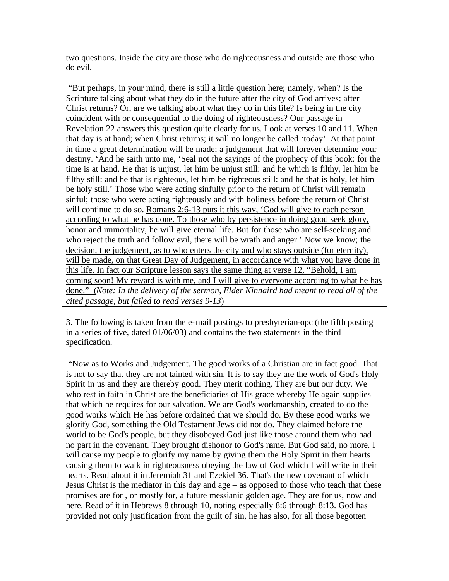two questions. Inside the city are those who do righteousness and outside are those who do evil.

 "But perhaps, in your mind, there is still a little question here; namely, when? Is the Scripture talking about what they do in the future after the city of God arrives; after Christ returns? Or, are we talking about what they do in this life? Is being in the city coincident with or consequential to the doing of righteousness? Our passage in Revelation 22 answers this question quite clearly for us. Look at verses 10 and 11. When that day is at hand; when Christ returns; it will no longer be called 'today'. At that point in time a great determination will be made; a judgement that will forever determine your destiny. 'And he saith unto me, 'Seal not the sayings of the prophecy of this book: for the time is at hand. He that is unjust, let him be unjust still: and he which is filthy, let him be filthy still: and he that is righteous, let him be righteous still: and he that is holy, let him be holy still.' Those who were acting sinfully prior to the return of Christ will remain sinful; those who were acting righteously and with holiness before the return of Christ will continue to do so. Romans 2:6-13 puts it this way, 'God will give to each person according to what he has done. To those who by persistence in doing good seek glory, honor and immortality, he will give eternal life. But for those who are self-seeking and who reject the truth and follow evil, there will be wrath and anger.' Now we know; the decision, the judgement, as to who enters the city and who stays outside (for eternity), will be made, on that Great Day of Judgement, in accordance with what you have done in this life. In fact our Scripture lesson says the same thing at verse 12, "Behold, I am coming soon! My reward is with me, and I will give to everyone according to what he has done." (*Note: In the delivery of the sermon, Elder Kinnaird had meant to read all of the cited passage, but failed to read verses 9-13*)

3. The following is taken from the e-mail postings to presbyterian-opc (the fifth posting in a series of five, dated 01/06/03) and contains the two statements in the third specification.

 "Now as to Works and Judgement. The good works of a Christian are in fact good. That is not to say that they are not tainted with sin. It is to say they are the work of God's Holy Spirit in us and they are thereby good. They merit nothing. They are but our duty. We who rest in faith in Christ are the beneficiaries of His grace whereby He again supplies that which he requires for our salvation. We are God's workmanship, created to do the good works which He has before ordained that we should do. By these good works we glorify God, something the Old Testament Jews did not do. They claimed before the world to be God's people, but they disobeyed God just like those around them who had no part in the covenant. They brought dishonor to God's name. But God said, no more. I will cause my people to glorify my name by giving them the Holy Spirit in their hearts causing them to walk in righteousness obeying the law of God which I will write in their hearts. Read about it in Jeremiah 31 and Ezekiel 36. That's the new covenant of which Jesus Christ is the mediator in this day and age – as opposed to those who teach that these promises are for , or mostly for, a future messianic golden age. They are for us, now and here. Read of it in Hebrews 8 through 10, noting especially 8:6 through 8:13. God has provided not only justification from the guilt of sin, he has also, for all those begotten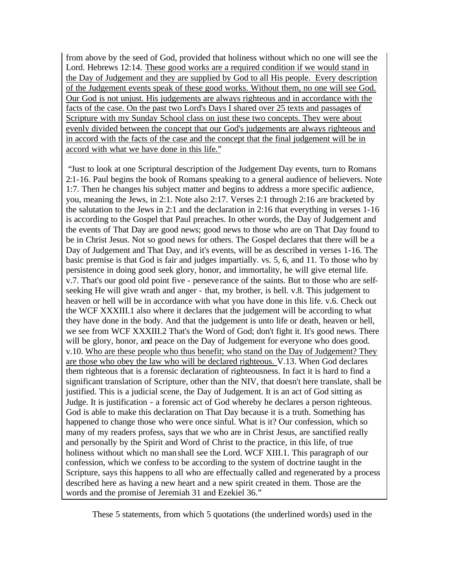from above by the seed of God, provided that holiness without which no one will see the Lord. Hebrews 12:14. These good works are a required condition if we would stand in the Day of Judgement and they are supplied by God to all His people. Every description of the Judgement events speak of these good works. Without them, no one will see God. Our God is not unjust. His judgements are always righteous and in accordance with the facts of the case. On the past two Lord's Days I shared over 25 texts and passages of Scripture with my Sunday School class on just these two concepts. They were about evenly divided between the concept that our God's judgements are always righteous and in accord with the facts of the case and the concept that the final judgement will be in accord with what we have done in this life."

 "Just to look at one Scriptural description of the Judgement Day events, turn to Romans 2:1-16. Paul begins the book of Romans speaking to a general audience of believers. Note 1:7. Then he changes his subject matter and begins to address a more specific audience, you, meaning the Jews, in 2:1. Note also 2:17. Verses 2:1 through 2:16 are bracketed by the salutation to the Jews in 2:1 and the declaration in 2:16 that everything in verses 1-16 is according to the Gospel that Paul preaches. In other words, the Day of Judgement and the events of That Day are good news; good news to those who are on That Day found to be in Christ Jesus. Not so good news for others. The Gospel declares that there will be a Day of Judgement and That Day, and it's events, will be as described in verses 1-16. The basic premise is that God is fair and judges impartially. vs. 5, 6, and 11. To those who by persistence in doing good seek glory, honor, and immortality, he will give eternal life. v.7. That's our good old point five - perseverance of the saints. But to those who are selfseeking He will give wrath and anger - that, my brother, is hell. v.8. This judgement to heaven or hell will be in accordance with what you have done in this life. v.6. Check out the WCF XXXIII.1 also where it declares that the judgement will be according to what they have done in the body. And that the judgement is unto life or death, heaven or hell, we see from WCF XXXIII.2 That's the Word of God; don't fight it. It's good news. There will be glory, honor, and peace on the Day of Judgement for everyone who does good. v.10. Who are these people who thus benefit; who stand on the Day of Judgement? They are those who obey the law who will be declared righteous. V.13. When God declares them righteous that is a forensic declaration of righteousness. In fact it is hard to find a significant translation of Scripture, other than the NIV, that doesn't here translate, shall be justified. This is a judicial scene, the Day of Judgement. It is an act of God sitting as Judge. It is justification - a forensic act of God whereby he declares a person righteous. God is able to make this declaration on That Day because it is a truth. Something has happened to change those who were once sinful. What is it? Our confession, which so many of my readers profess, says that we who are in Christ Jesus, are sanctified really and personally by the Spirit and Word of Christ to the practice, in this life, of true holiness without which no man shall see the Lord. WCF XIII.1. This paragraph of our confession, which we confess to be according to the system of doctrine taught in the Scripture, says this happens to all who are effectually called and regenerated by a process described here as having a new heart and a new spirit created in them. Those are the words and the promise of Jeremiah 31 and Ezekiel 36."

These 5 statements, from which 5 quotations (the underlined words) used in the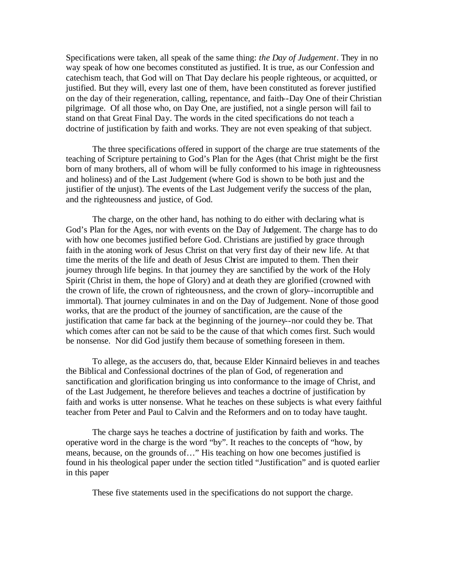Specifications were taken, all speak of the same thing: *the Day of Judgement*. They in no way speak of how one becomes constituted as justified. It is true, as our Confession and catechism teach, that God will on That Day declare his people righteous, or acquitted, or justified. But they will, every last one of them, have been constituted as forever justified on the day of their regeneration, calling, repentance, and faith--Day One of their Christian pilgrimage. Of all those who, on Day One, are justified, not a single person will fail to stand on that Great Final Day. The words in the cited specifications do not teach a doctrine of justification by faith and works. They are not even speaking of that subject.

The three specifications offered in support of the charge are true statements of the teaching of Scripture pertaining to God's Plan for the Ages (that Christ might be the first born of many brothers, all of whom will be fully conformed to his image in righteousness and holiness) and of the Last Judgement (where God is shown to be both just and the justifier of the unjust). The events of the Last Judgement verify the success of the plan, and the righteousness and justice, of God.

The charge, on the other hand, has nothing to do either with declaring what is God's Plan for the Ages, nor with events on the Day of Judgement. The charge has to do with how one becomes justified before God. Christians are justified by grace through faith in the atoning work of Jesus Christ on that very first day of their new life. At that time the merits of the life and death of Jesus Christ are imputed to them. Then their journey through life begins. In that journey they are sanctified by the work of the Holy Spirit (Christ in them, the hope of Glory) and at death they are glorified (crowned with the crown of life, the crown of righteousness, and the crown of glory--incorruptible and immortal). That journey culminates in and on the Day of Judgement. None of those good works, that are the product of the journey of sanctification, are the cause of the justification that came far back at the beginning of the journey--nor could they be. That which comes after can not be said to be the cause of that which comes first. Such would be nonsense. Nor did God justify them because of something foreseen in them.

To allege, as the accusers do, that, because Elder Kinnaird believes in and teaches the Biblical and Confessional doctrines of the plan of God, of regeneration and sanctification and glorification bringing us into conformance to the image of Christ, and of the Last Judgement, he therefore believes and teaches a doctrine of justification by faith and works is utter nonsense. What he teaches on these subjects is what every faithful teacher from Peter and Paul to Calvin and the Reformers and on to today have taught.

The charge says he teaches a doctrine of justification by faith and works. The operative word in the charge is the word "by". It reaches to the concepts of "how, by means, because, on the grounds of…" His teaching on how one becomes justified is found in his theological paper under the section titled "Justification" and is quoted earlier in this paper

These five statements used in the specifications do not support the charge.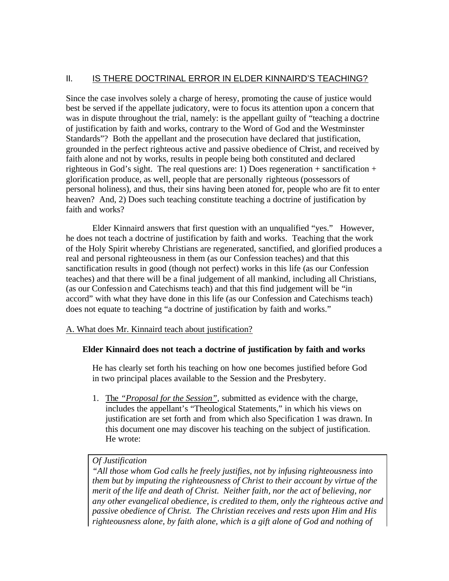# II. IS THERE DOCTRINAL ERROR IN ELDER KINNAIRD'S TEACHING?

Since the case involves solely a charge of heresy, promoting the cause of justice would best be served if the appellate judicatory, were to focus its attention upon a concern that was in dispute throughout the trial, namely: is the appellant guilty of "teaching a doctrine of justification by faith and works, contrary to the Word of God and the Westminster Standards"? Both the appellant and the prosecution have declared that justification, grounded in the perfect righteous active and passive obedience of Christ, and received by faith alone and not by works, results in people being both constituted and declared righteous in God's sight. The real questions are: 1) Does regeneration + sanctification + glorification produce, as well, people that are personally righteous (possessors of personal holiness), and thus, their sins having been atoned for, people who are fit to enter heaven? And, 2) Does such teaching constitute teaching a doctrine of justification by faith and works?

Elder Kinnaird answers that first question with an unqualified "yes." However, he does not teach a doctrine of justification by faith and works. Teaching that the work of the Holy Spirit whereby Christians are regenerated, sanctified, and glorified produces a real and personal righteousness in them (as our Confession teaches) and that this sanctification results in good (though not perfect) works in this life (as our Confession teaches) and that there will be a final judgement of all mankind, including all Christians, (as our Confession and Catechisms teach) and that this find judgement will be "in accord" with what they have done in this life (as our Confession and Catechisms teach) does not equate to teaching "a doctrine of justification by faith and works."

# A. What does Mr. Kinnaird teach about justification?

## **Elder Kinnaird does not teach a doctrine of justification by faith and works**

He has clearly set forth his teaching on how one becomes justified before God in two principal places available to the Session and the Presbytery.

1. The *"Proposal for the Session"*, submitted as evidence with the charge, includes the appellant's "Theological Statements," in which his views on justification are set forth and from which also Specification 1 was drawn. In this document one may discover his teaching on the subject of justification. He wrote:

## *Of Justification*

*"All those whom God calls he freely justifies, not by infusing righteousness into them but by imputing the righteousness of Christ to their account by virtue of the merit of the life and death of Christ. Neither faith, nor the act of believing, nor any other evangelical obedience, is credited to them, only the righteous active and passive obedience of Christ. The Christian receives and rests upon Him and His righteousness alone, by faith alone, which is a gift alone of God and nothing of*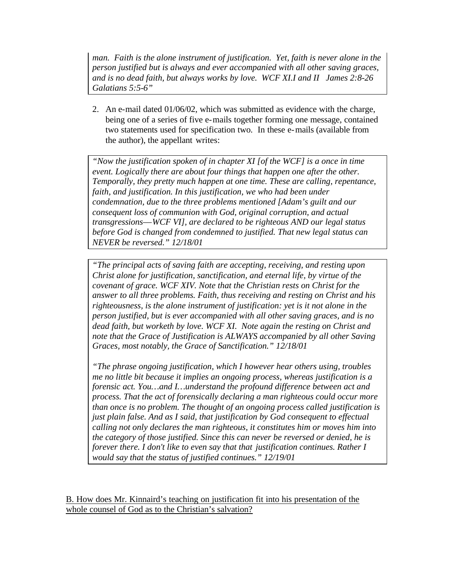*man. Faith is the alone instrument of justification. Yet, faith is never alone in the person justified but is always and ever accompanied with all other saving graces, and is no dead faith, but always works by love. WCF XI.I and II James 2:8-26 Galatians 5:5-6"*

2. An e-mail dated 01/06/02, which was submitted as evidence with the charge, being one of a series of five e-mails together forming one message, contained two statements used for specification two. In these e-mails (available from the author), the appellant writes:

*"Now the justification spoken of in chapter XI [of the WCF] is a once in time event. Logically there are about four things that happen one after the other. Temporally, they pretty much happen at one time. These are calling, repentance, faith, and justification. In this justification, we who had been under condemnation, due to the three problems mentioned [Adam's guilt and our consequent loss of communion with God, original corruption, and actual transgressions*—*WCF VI], are declared to be righteous AND our legal status before God is changed from condemned to justified. That new legal status can NEVER be reversed." 12/18/01*

*"The principal acts of saving faith are accepting, receiving, and resting upon Christ alone for justification, sanctification, and eternal life, by virtue of the covenant of grace. WCF XIV. Note that the Christian rests on Christ for the answer to all three problems. Faith, thus receiving and resting on Christ and his righteousness, is the alone instrument of justification: yet is it not alone in the person justified, but is ever accompanied with all other saving graces, and is no dead faith, but worketh by love. WCF XI. Note again the resting on Christ and note that the Grace of Justification is ALWAYS accompanied by all other Saving Graces, most notably, the Grace of Sanctification." 12/18/01*

*"The phrase ongoing justification, which I however hear others using, troubles me no little bit because it implies an ongoing process, whereas justification is a forensic act. You…and I…understand the profound difference between act and process. That the act of forensically declaring a man righteous could occur more than once is no problem. The thought of an ongoing process called justification is just plain false. And as I said, that justification by God consequent to effectual calling not only declares the man righteous, it constitutes him or moves him into the category of those justified. Since this can never be reversed or denied, he is forever there. I don't like to even say that that justification continues. Rather I would say that the status of justified continues." 12/19/01*

B. How does Mr. Kinnaird's teaching on justification fit into his presentation of the whole counsel of God as to the Christian's salvation?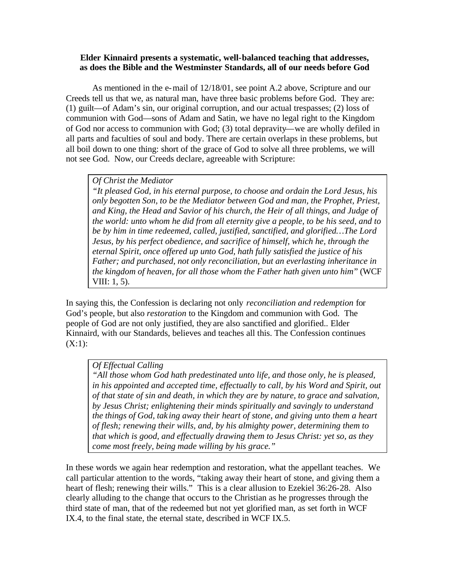## **Elder Kinnaird presents a systematic, well-balanced teaching that addresses, as does the Bible and the Westminster Standards, all of our needs before God**

As mentioned in the e-mail of 12/18/01, see point A.2 above, Scripture and our Creeds tell us that we, as natural man, have three basic problems before God. They are: (1) guilt—of Adam's sin, our original corruption, and our actual trespasses; (2) loss of communion with God—sons of Adam and Satin, we have no legal right to the Kingdom of God nor access to communion with God; (3) total depravity—we are wholly defiled in all parts and faculties of soul and body. There are certain overlaps in these problems, but all boil down to one thing: short of the grace of God to solve all three problems, we will not see God. Now, our Creeds declare, agreeable with Scripture:

## *Of Christ the Mediator*

*"It pleased God, in his eternal purpose, to choose and ordain the Lord Jesus, his only begotten Son, to be the Mediator between God and man, the Prophet, Priest, and King, the Head and Savior of his church, the Heir of all things, and Judge of the world: unto whom he did from all eternity give a people, to be his seed, and to be by him in time redeemed, called, justified, sanctified, and glorified…The Lord Jesus, by his perfect obedience, and sacrifice of himself, which he, through the eternal Spirit, once offered up unto God, hath fully satisfied the justice of his Father; and purchased, not only reconciliation, but an everlasting inheritance in the kingdom of heaven, for all those whom the Father hath given unto him*" (WCF VIII: 1, 5).

In saying this, the Confession is declaring not only *reconciliation and redemption* for God's people, but also *restoration* to the Kingdom and communion with God. The people of God are not only justified, they are also sanctified and glorified.. Elder Kinnaird, with our Standards, believes and teaches all this. The Confession continues  $(X:1)$ :

# *Of Effectual Calling*

*"All those whom God hath predestinated unto life, and those only, he is pleased, in his appointed and accepted time, effectually to call, by his Word and Spirit, out of that state of sin and death, in which they are by nature, to grace and salvation, by Jesus Christ; enlightening their minds spiritually and savingly to understand the things of God, tak ing away their heart of stone, and giving unto them a heart of flesh; renewing their wills, and, by his almighty power, determining them to that which is good, and effectually drawing them to Jesus Christ: yet so, as they come most freely, being made willing by his grace."*

In these words we again hear redemption and restoration, what the appellant teaches. We call particular attention to the words, "taking away their heart of stone, and giving them a heart of flesh; renewing their wills." This is a clear allusion to Ezekiel 36:26-28. Also clearly alluding to the change that occurs to the Christian as he progresses through the third state of man, that of the redeemed but not yet glorified man, as set forth in WCF IX.4, to the final state, the eternal state, described in WCF IX.5.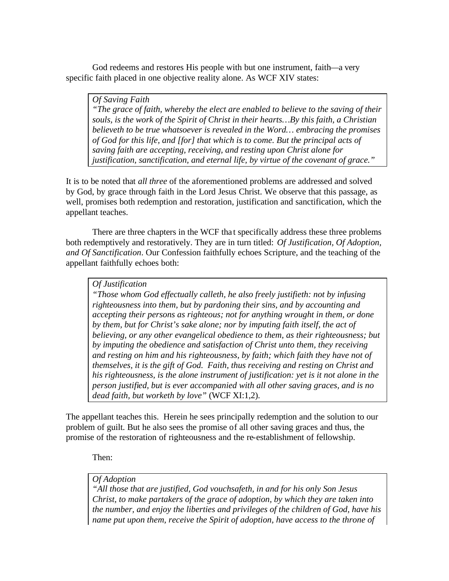God redeems and restores His people with but one instrument, faith—a very specific faith placed in one objective reality alone. As WCF XIV states:

## *Of Saving Faith*

*"The grace of faith, whereby the elect are enabled to believe to the saving of their souls, is the work of the Spirit of Christ in their hearts…By this faith, a Christian believeth to be true whatsoever is revealed in the Word… embracing the promises of God for this life, and [for] that which is to come. But the principal acts of saving faith are accepting, receiving, and resting upon Christ alone for justification, sanctification, and eternal life, by virtue of the covenant of grace."* 

It is to be noted that *all three* of the aforementioned problems are addressed and solved by God, by grace through faith in the Lord Jesus Christ. We observe that this passage, as well, promises both redemption and restoration, justification and sanctification, which the appellant teaches.

There are three chapters in the WCF that specifically address these three problems both redemptively and restoratively. They are in turn titled: *Of Justification, Of Adoption, and Of Sanctification*. Our Confession faithfully echoes Scripture, and the teaching of the appellant faithfully echoes both:

## *Of Justification*

*"Those whom God effectually calleth, he also freely justifieth: not by infusing righteousness into them, but by pardoning their sins, and by accounting and accepting their persons as righteous; not for anything wrought in them, or done by them, but for Christ's sake alone; nor by imputing faith itself, the act of believing, or any other evangelical obedience to them, as their righteousness; but by imputing the obedience and satisfaction of Christ unto them, they receiving and resting on him and his righteousness, by faith; which faith they have not of themselves, it is the gift of God. Faith, thus receiving and resting on Christ and his righteousness, is the alone instrument of justification: yet is it not alone in the person justified, but is ever accompanied with all other saving graces, and is no dead faith, but worketh by love"* (WCF XI:1,2).

The appellant teaches this. Herein he sees principally redemption and the solution to our problem of guilt. But he also sees the promise of all other saving graces and thus, the promise of the restoration of righteousness and the re-establishment of fellowship.

Then:

#### *Of Adoption*

*"All those that are justified, God vouchsafeth, in and for his only Son Jesus Christ, to make partakers of the grace of adoption, by which they are taken into the number, and enjoy the liberties and privileges of the children of God, have his name put upon them, receive the Spirit of adoption, have access to the throne of*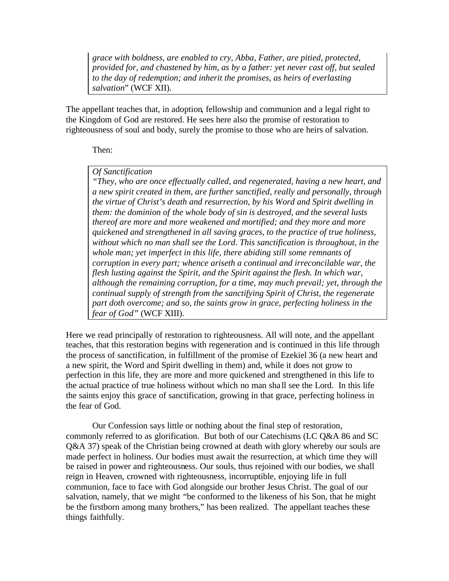*grace with boldness, are enabled to cry, Abba, Father, are pitied, protected, provided for, and chastened by him, as by a father: yet never cast off, but sealed to the day of redemption; and inherit the promises, as heirs of everlasting salvation*" (WCF XII).

The appellant teaches that, in adoption, fellowship and communion and a legal right to the Kingdom of God are restored. He sees here also the promise of restoration to righteousness of soul and body, surely the promise to those who are heirs of salvation.

#### Then:

## *Of Sanctification*

*"They, who are once effectually called, and regenerated, having a new heart, and a new spirit created in them, are further sanctified, really and personally, through the virtue of Christ's death and resurrection, by his Word and Spirit dwelling in them: the dominion of the whole body of sin is destroyed, and the several lusts thereof are more and more weakened and mortified; and they more and more quickened and strengthened in all saving graces, to the practice of true holiness, without which no man shall see the Lord*. *This sanctification is throughout, in the whole man; yet imperfect in this life, there abiding still some remnants of corruption in every part; whence ariseth a continual and irreconcilable war, the flesh lusting against the Spirit, and the Spirit against the flesh. In which war, although the remaining corruption, for a time, may much prevail; yet, through the continual supply of strength from the sanctifying Spirit of Christ, the regenerate part doth overcome; and so, the saints grow in grace, perfecting holiness in the fear of God"* (WCF XIII).

Here we read principally of restoration to righteousness. All will note, and the appellant teaches, that this restoration begins with regeneration and is continued in this life through the process of sanctification, in fulfillment of the promise of Ezekiel 36 (a new heart and a new spirit, the Word and Spirit dwelling in them) and, while it does not grow to perfection in this life, they are more and more quickened and strengthened in this life to the actual practice of true holiness without which no man sha ll see the Lord. In this life the saints enjoy this grace of sanctification, growing in that grace, perfecting holiness in the fear of God.

Our Confession says little or nothing about the final step of restoration, commonly referred to as glorification. But both of our Catechisms (LC Q&A 86 and SC Q&A 37) speak of the Christian being crowned at death with glory whereby our souls are made perfect in holiness. Our bodies must await the resurrection, at which time they will be raised in power and righteousness. Our souls, thus rejoined with our bodies, we shall reign in Heaven, crowned with righteousness, incorruptible, enjoying life in full communion, face to face with God alongside our brother Jesus Christ. The goal of our salvation, namely, that we might "be conformed to the likeness of his Son, that he might be the firstborn among many brothers," has been realized. The appellant teaches these things faithfully.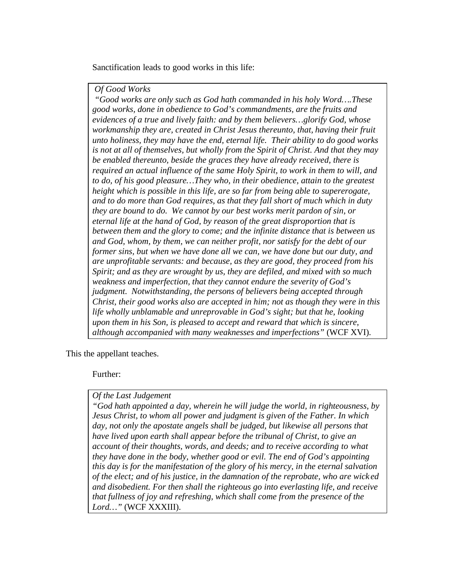Sanctification leads to good works in this life:

#### *Of Good Works*

*"Good works are only such as God hath commanded in his holy Word….These good works, done in obedience to God's commandments, are the fruits and evidences of a true and lively faith: and by them believers…glorify God, whose workmanship they are, created in Christ Jesus thereunto, that, having their fruit unto holiness, they may have the end, eternal life. Their ability to do good works is not at all of themselves, but wholly from the Spirit of Christ. And that they may be enabled thereunto, beside the graces they have already received, there is required an actual influence of the same Holy Spirit, to work in them to will, and to do, of his good pleasure…They who, in their obedience, attain to the greatest height which is possible in this life, are so far from being able to supererogate, and to do more than God requires, as that they fall short of much which in duty they are bound to do. We cannot by our best works merit pardon of sin, or eternal life at the hand of God, by reason of the great disproportion that is between them and the glory to come; and the infinite distance that is between us and God, whom, by them, we can neither profit, nor satisfy for the debt of our former sins, but when we have done all we can, we have done but our duty, and are unprofitable servants: and because, as they are good, they proceed from his Spirit; and as they are wrought by us, they are defiled, and mixed with so much weakness and imperfection, that they cannot endure the severity of God's judgment. Notwithstanding, the persons of believers being accepted through Christ, their good works also are accepted in him; not as though they were in this life wholly unblamable and unreprovable in God's sight; but that he, looking upon them in his Son, is pleased to accept and reward that which is sincere, although accompanied with many weaknesses and imperfections"* (WCF XVI).

This the appellant teaches.

Further:

## *Of the Last Judgement*

*"God hath appointed a day, wherein he will judge the world, in righteousness, by Jesus Christ, to whom all power and judgment is given of the Father. In which day, not only the apostate angels shall be judged, but likewise all persons that have lived upon earth shall appear before the tribunal of Christ, to give an account of their thoughts, words, and deeds; and to receive according to what they have done in the body, whether good or evil. The end of God's appointing this day is for the manifestation of the glory of his mercy, in the eternal salvation of the elect; and of his justice, in the damnation of the reprobate, who are wick ed and disobedient. For then shall the righteous go into everlasting life, and receive that fullness of joy and refreshing, which shall come from the presence of the Lord…"* (WCF XXXIII).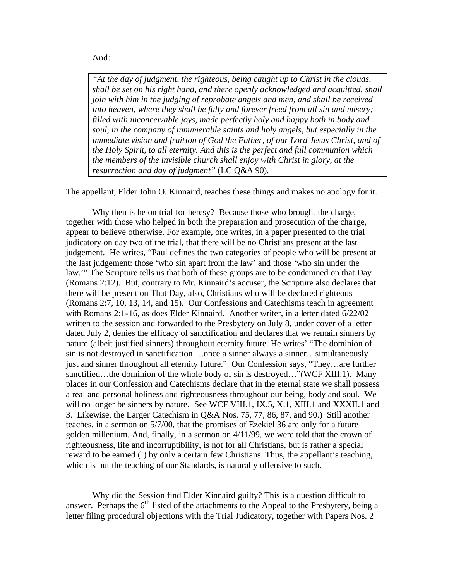#### And:

*"At the day of judgment, the righteous, being caught up to Christ in the clouds, shall be set on his right hand, and there openly acknowledged and acquitted, shall join with him in the judging of reprobate angels and men, and shall be received into heaven, where they shall be fully and forever freed from all sin and misery; filled with inconceivable joys, made perfectly holy and happy both in body and soul, in the company of innumerable saints and holy angels, but especially in the immediate vision and fruition of God the Father, of our Lord Jesus Christ, and of the Holy Spirit, to all eternity. And this is the perfect and full communion which the members of the invisible church shall enjoy with Christ in glory, at the resurrection and day of judgment"* (LC Q&A 90).

The appellant, Elder John O. Kinnaird, teaches these things and makes no apology for it.

Why then is he on trial for heresy? Because those who brought the charge, together with those who helped in both the preparation and prosecution of the cha rge, appear to believe otherwise. For example, one writes, in a paper presented to the trial judicatory on day two of the trial, that there will be no Christians present at the last judgement. He writes, "Paul defines the two categories of people who will be present at the last judgement: those 'who sin apart from the law' and those 'who sin under the law.'" The Scripture tells us that both of these groups are to be condemned on that Day (Romans 2:12). But, contrary to Mr. Kinnaird's accuser, the Scripture also declares that there will be present on That Day, also, Christians who will be declared righteous (Romans 2:7, 10, 13, 14, and 15). Our Confessions and Catechisms teach in agreement with Romans 2:1-16, as does Elder Kinnaird. Another writer, in a letter dated 6/22/02 written to the session and forwarded to the Presbytery on July 8, under cover of a letter dated July 2, denies the efficacy of sanctification and declares that we remain sinners by nature (albeit justified sinners) throughout eternity future. He writes' "The dominion of sin is not destroyed in sanctification….once a sinner always a sinner…simultaneously just and sinner throughout all eternity future." Our Confession says, "They…are further sanctified…the dominion of the whole body of sin is destroyed…"(WCF XIII.1). Many places in our Confession and Catechisms declare that in the eternal state we shall possess a real and personal holiness and righteousness throughout our being, body and soul. We will no longer be sinners by nature. See WCF VIII.1, IX.5, X.1, XIII.1 and XXXII.1 and 3. Likewise, the Larger Catechism in Q&A Nos. 75, 77, 86, 87, and 90.) Still another teaches, in a sermon on 5/7/00, that the promises of Ezekiel 36 are only for a future golden millenium. And, finally, in a sermon on 4/11/99, we were told that the crown of righteousness, life and incorruptibility, is not for all Christians, but is rather a special reward to be earned (!) by only a certain few Christians. Thus, the appellant's teaching, which is but the teaching of our Standards, is naturally offensive to such.

Why did the Session find Elder Kinnaird guilty? This is a question difficult to answer. Perhaps the  $6<sup>th</sup>$  listed of the attachments to the Appeal to the Presbytery, being a letter filing procedural objections with the Trial Judicatory, together with Papers Nos. 2